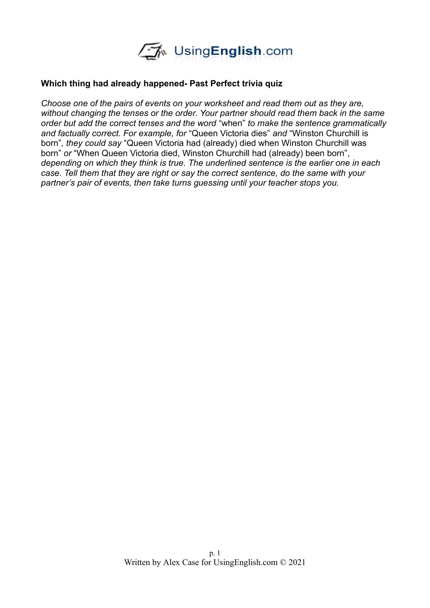

## **Which thing had already happened- Past Perfect trivia quiz**

*Choose one of the pairs of events on your worksheet and read them out as they are, without changing the tenses or the order. Your partner should read them back in the same order but add the correct tenses and the word* "when" *to make the sentence grammatically and factually correct. For example, for* "Queen Victoria dies" *and* "Winston Churchill is born"*, they could say* "Queen Victoria had (already) died when Winston Churchill was born" *or* "When Queen Victoria died, Winston Churchill had (already) been born"*, depending on which they think is true. The underlined sentence is the earlier one in each case. Tell them that they are right or say the correct sentence, do the same with your partner's pair of events, then take turns guessing until your teacher stops you.*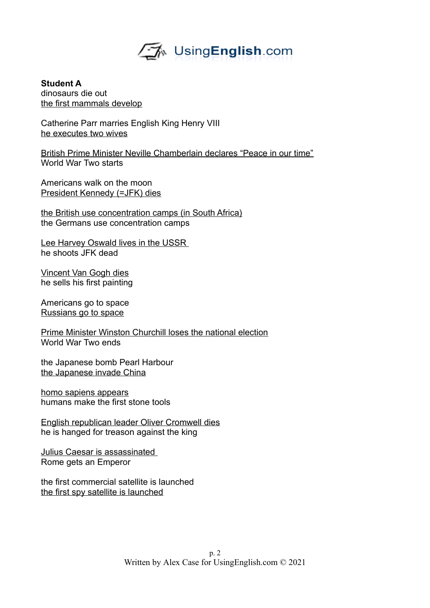

**Student A** dinosaurs die out the first mammals develop

Catherine Parr marries English King Henry VIII he executes two wives

British Prime Minister Neville Chamberlain declares "Peace in our time" World War Two starts

Americans walk on the moon President Kennedy (=JFK) dies

the British use concentration camps (in South Africa) the Germans use concentration camps

Lee Harvey Oswald lives in the USSR he shoots JFK dead

Vincent Van Gogh dies he sells his first painting

Americans go to space Russians go to space

Prime Minister Winston Churchill loses the national election World War Two ends

the Japanese bomb Pearl Harbour the Japanese invade China

homo sapiens appears humans make the first stone tools

English republican leader Oliver Cromwell dies he is hanged for treason against the king

Julius Caesar is assassinated Rome gets an Emperor

the first commercial satellite is launched the first spy satellite is launched